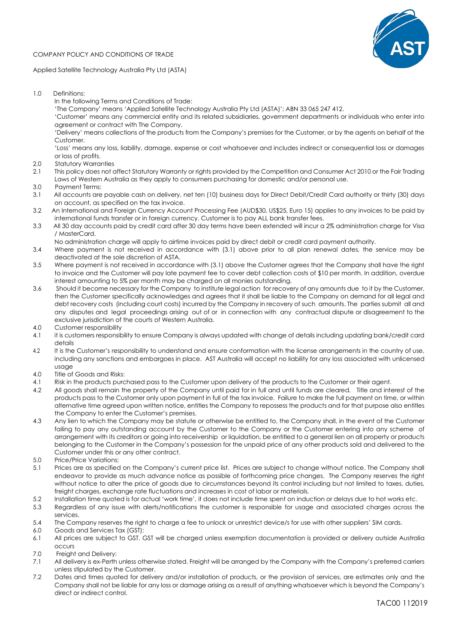COMPANY POLICY AND CONDITIONS OF TRADE



Applied Satellite Technology Australia Pty Ltd (ASTA)

- 1.0 Definitions:
	- In the following Terms and Conditions of Trade:

'The Company' means 'Applied Satellite Technology Australia Pty Ltd (ASTA)'; ABN 33 065 247 412.

'Customer' means any commercial entity and its related subsidiaries, government departments or individuals who enter into agreement or contract with The Company.

'Delivery' means collections of the products from the Company's premises for the Customer, or by the agents on behalf of the Customer.

'Loss' means any loss, liability, damage, expense or cost whatsoever and includes indirect or consequential loss or damages or loss of profits.

- 2.0 Statutory Warranties
- 2.1 This policy does not affect Statutory Warranty or rights provided by the Competition and Consumer Act 2010 or the Fair Trading Laws of Western Australia as they apply to consumers purchasing for domestic and/or personal use.
- 3.0 Payment Terms:
- 3.1 All accounts are payable cash on delivery, net ten (10) business days for Direct Debit/Credit Card authority or thirty (30) days on account, as specified on the tax invoice.
- 3.2 An International and Foreign Currency Account Processing Fee (AUD\$30, US\$25, Euro 15) applies to any invoices to be paid by international funds transfer or in foreign currency. Customer is to pay ALL bank transfer fees.
- 3.3 All 30 day accounts paid by credit card after 30 day terms have been extended will incur a 2% administration charge for Visa / MasterCard.
	- No administration charge will apply to airtime invoices paid by direct debit or credit card payment authority.
- 3.4 Where payment is not received in accordance with (3.1) above prior to all plan renewal dates, the service may be deactivated at the sole discretion of ASTA.
- 3.5 Where payment is not received in accordance with (3.1) above the Customer agrees that the Company shall have the right to invoice and the Customer will pay late payment fee to cover debt collection costs of \$10 per month. In addition, overdue interest amounting to 5% per month may be charged on all monies outstanding.
- 3.6 Should it become necessary for the Company to institute legal action for recovery of any amounts due to it by the Customer, then the Customer specifically acknowledges and agrees that it shall be liable to the Company on demand for all legal and debt recovery costs (including court costs) incurred by the Company in recovery of such amounts. The parties submit all and any disputes and legal proceedings arising out of or in connection with any contractual dispute or disagreement to the exclusive jurisdiction of the courts of Western Australia.
- 4.0 Customer responsibility
- 4.1 it is customers responsibility to ensure Company is always updated with change of details including updating bank/credit card details
- 4.2 It is the Customer's responsibility to understand and ensure conformation with the license arrangements in the country of use, including any sanctions and embargoes in place. AST Australia will accept no liability for any loss associated with unlicensed usage
- 4.0 Title of Goods and Risks:
- 4.1 Risk in the products purchased pass to the Customer upon delivery of the products to the Customer or their agent.
- 4.2 All goods shall remain the property of the Company until paid for in full and until funds are cleared. Title and interest of the products pass to the Customer only upon payment in full of the tax invoice. Failure to make the full payment on time, or within alternative time agreed upon written notice, entitles the Company to repossess the products and for that purpose also entitles the Company to enter the Customer's premises.
- 4.3 Any lien to which the Company may be statute or otherwise be entitled to, the Company shall, in the event of the Customer failing to pay any outstanding account by the Customer to the Company or the Customer entering into any scheme of arrangement with its creditors or going into receivership or liquidation, be entitled to a general lien on all property or products belonging to the Customer in the Company's possession for the unpaid price of any other products sold and delivered to the Customer under this or any other contract.
- 5.0 Price/Price Variations:
- 5.1 Prices are as specified on the Company's current price list. Prices are subject to change without notice. The Company shall endeavor to provide as much advance notice as possible of forthcoming price changes. The Company reserves the right without notice to alter the price of goods due to circumstances beyond its control including but not limited to taxes, duties, freight charges, exchange rate fluctuations and increases in cost of labor or materials.
- 5.2 Installation time quoted is for actual 'work time', it does not include time spent on induction or delays due to hot works etc.
- 5.3 Regardless of any issue with alerts/notifications the customer is responsible for usage and associated charges across the services.
- 5.4 The Company reserves the right to charge a fee to unlock or unrestrict device/s for use with other suppliers' SIM cards.
- 6.0 Goods and Services Tax (GST):
- 6.1 All prices are subject to GST. GST will be charged unless exemption documentation is provided or delivery outside Australia occurs
- 7.0 Freight and Delivery:
- 7.1 All delivery is ex-Perth unless otherwise stated. Freight will be arranged by the Company with the Company's preferred carriers unless stipulated by the Customer.
- 7.2 Dates and times quoted for delivery and/or installation of products, or the provision of services, are estimates only and the Company shall not be liable for any loss or damage arising as a result of anything whatsoever which is beyond the Company's direct or indirect control.